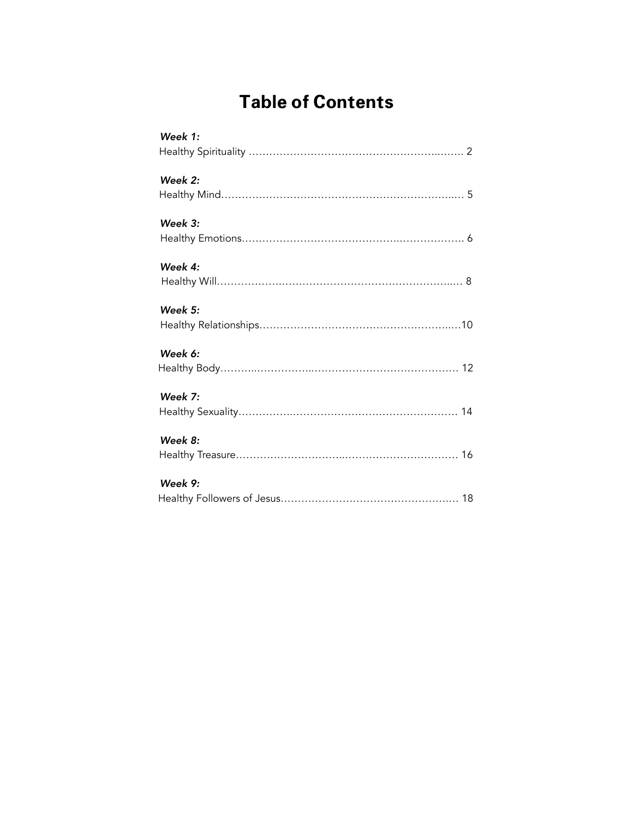# **Table of Contents**

| Week 1:   |  |
|-----------|--|
| Week 2:   |  |
| Week $3:$ |  |
| Week 4:   |  |
| Week 5:   |  |
| Week 6:   |  |
| Week 7:   |  |
| Week 8:   |  |
| Week 9:   |  |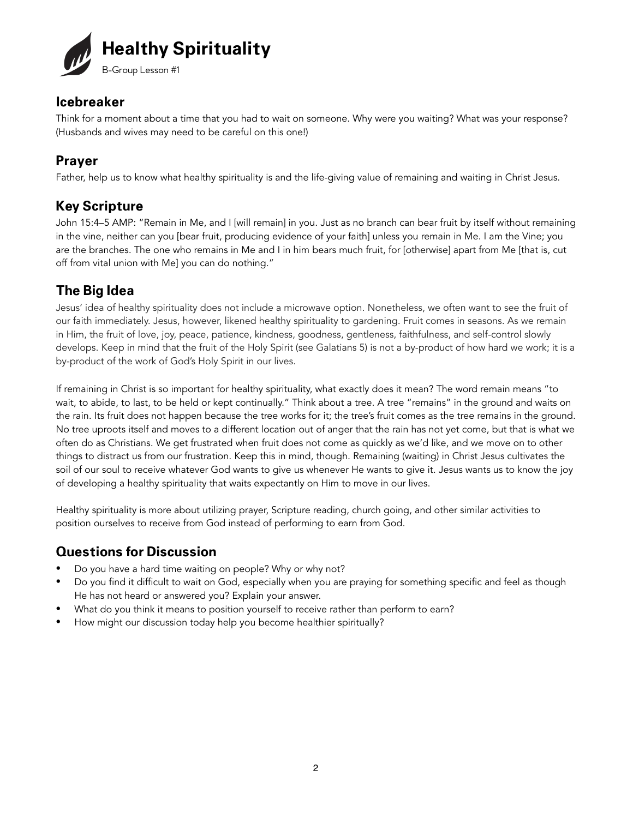

Think for a moment about a time that you had to wait on someone. Why were you waiting? What was your response? (Husbands and wives may need to be careful on this one!)

### **Prayer**

Father, help us to know what healthy spirituality is and the life-giving value of remaining and waiting in Christ Jesus.

### **Key Scripture**

John 15:4–5 AMP: "Remain in Me, and I [will remain] in you. Just as no branch can bear fruit by itself without remaining in the vine, neither can you [bear fruit, producing evidence of your faith] unless you remain in Me. I am the Vine; you are the branches. The one who remains in Me and I in him bears much fruit, for [otherwise] apart from Me [that is, cut off from vital union with Me] you can do nothing."

### **The Big Idea**

Jesus' idea of healthy spirituality does not include a microwave option. Nonetheless, we often want to see the fruit of our faith immediately. Jesus, however, likened healthy spirituality to gardening. Fruit comes in seasons. As we remain in Him, the fruit of love, joy, peace, patience, kindness, goodness, gentleness, faithfulness, and self-control slowly develops. Keep in mind that the fruit of the Holy Spirit (see Galatians 5) is not a by-product of how hard we work; it is a by-product of the work of God's Holy Spirit in our lives.

If remaining in Christ is so important for healthy spirituality, what exactly does it mean? The word remain means "to wait, to abide, to last, to be held or kept continually." Think about a tree. A tree "remains" in the ground and waits on the rain. Its fruit does not happen because the tree works for it; the tree's fruit comes as the tree remains in the ground. No tree uproots itself and moves to a different location out of anger that the rain has not yet come, but that is what we often do as Christians. We get frustrated when fruit does not come as quickly as we'd like, and we move on to other things to distract us from our frustration. Keep this in mind, though. Remaining (waiting) in Christ Jesus cultivates the soil of our soul to receive whatever God wants to give us whenever He wants to give it. Jesus wants us to know the joy of developing a healthy spirituality that waits expectantly on Him to move in our lives.

Healthy spirituality is more about utilizing prayer, Scripture reading, church going, and other similar activities to position ourselves to receive from God instead of performing to earn from God.

- Do you have a hard time waiting on people? Why or why not?
- Do you find it difficult to wait on God, especially when you are praying for something specific and feel as though He has not heard or answered you? Explain your answer.
- What do you think it means to position yourself to receive rather than perform to earn?
- How might our discussion today help you become healthier spiritually?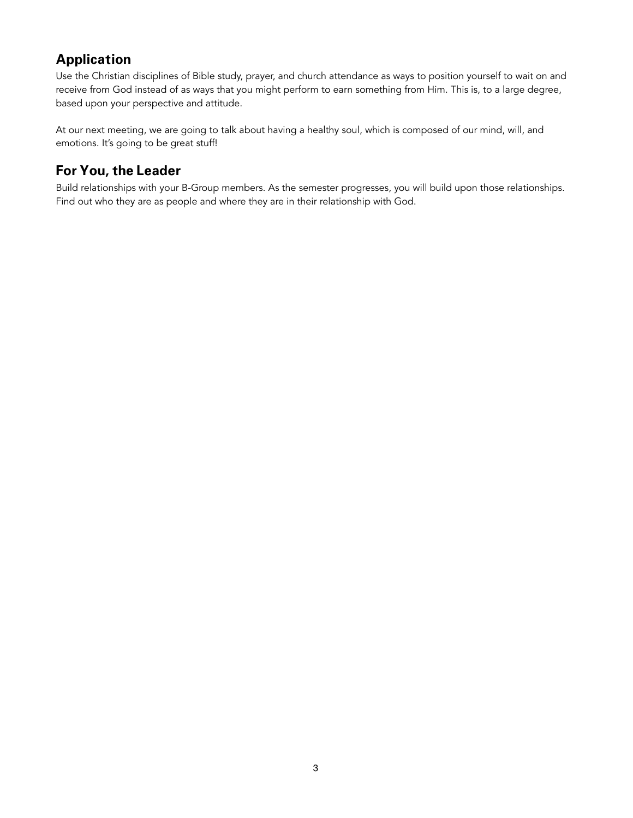Use the Christian disciplines of Bible study, prayer, and church attendance as ways to position yourself to wait on and receive from God instead of as ways that you might perform to earn something from Him. This is, to a large degree, based upon your perspective and attitude.

At our next meeting, we are going to talk about having a healthy soul, which is composed of our mind, will, and emotions. It's going to be great stuff!

### **For You, the Leader**

Build relationships with your B-Group members. As the semester progresses, you will build upon those relationships. Find out who they are as people and where they are in their relationship with God.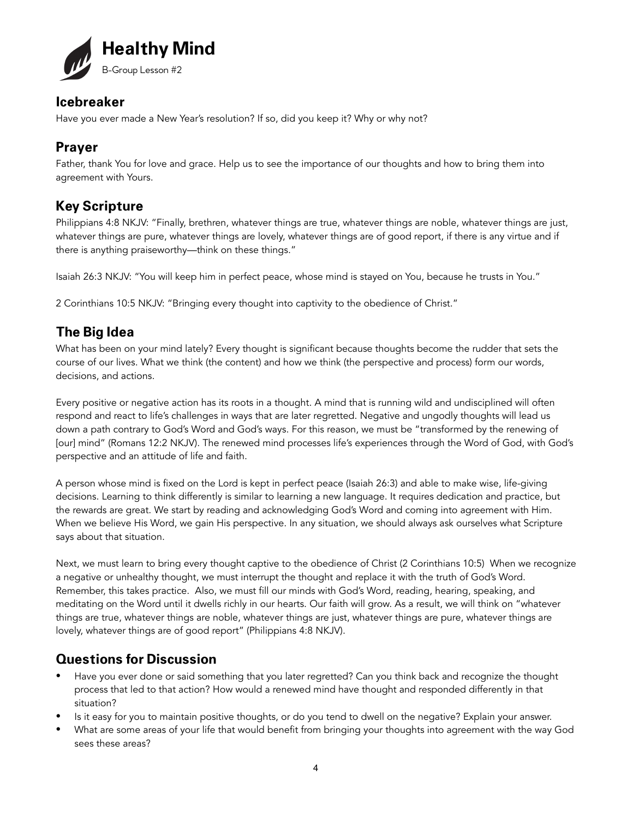

Have you ever made a New Year's resolution? If so, did you keep it? Why or why not?

### **Prayer**

Father, thank You for love and grace. Help us to see the importance of our thoughts and how to bring them into agreement with Yours.

### **Key Scripture**

Philippians 4:8 NKJV: "Finally, brethren, whatever things are true, whatever things are noble, whatever things are just, whatever things are pure, whatever things are lovely, whatever things are of good report, if there is any virtue and if there is anything praiseworthy—think on these things."

Isaiah 26:3 NKJV: "You will keep him in perfect peace, whose mind is stayed on You, because he trusts in You."

2 Corinthians 10:5 NKJV: "Bringing every thought into captivity to the obedience of Christ."

### **The Big Idea**

What has been on your mind lately? Every thought is significant because thoughts become the rudder that sets the course of our lives. What we think (the content) and how we think (the perspective and process) form our words, decisions, and actions.

Every positive or negative action has its roots in a thought. A mind that is running wild and undisciplined will often respond and react to life's challenges in ways that are later regretted. Negative and ungodly thoughts will lead us down a path contrary to God's Word and God's ways. For this reason, we must be "transformed by the renewing of [our] mind" (Romans 12:2 NKJV). The renewed mind processes life's experiences through the Word of God, with God's perspective and an attitude of life and faith.

A person whose mind is fixed on the Lord is kept in perfect peace (Isaiah 26:3) and able to make wise, life-giving decisions. Learning to think differently is similar to learning a new language. It requires dedication and practice, but the rewards are great. We start by reading and acknowledging God's Word and coming into agreement with Him. When we believe His Word, we gain His perspective. In any situation, we should always ask ourselves what Scripture says about that situation.

Next, we must learn to bring every thought captive to the obedience of Christ (2 Corinthians 10:5) When we recognize a negative or unhealthy thought, we must interrupt the thought and replace it with the truth of God's Word. Remember, this takes practice. Also, we must fill our minds with God's Word, reading, hearing, speaking, and meditating on the Word until it dwells richly in our hearts. Our faith will grow. As a result, we will think on "whatever things are true, whatever things are noble, whatever things are just, whatever things are pure, whatever things are lovely, whatever things are of good report" (Philippians 4:8 NKJV).

- Have you ever done or said something that you later regretted? Can you think back and recognize the thought process that led to that action? How would a renewed mind have thought and responded differently in that situation?
- Is it easy for you to maintain positive thoughts, or do you tend to dwell on the negative? Explain your answer.
- What are some areas of your life that would benefit from bringing your thoughts into agreement with the way God sees these areas?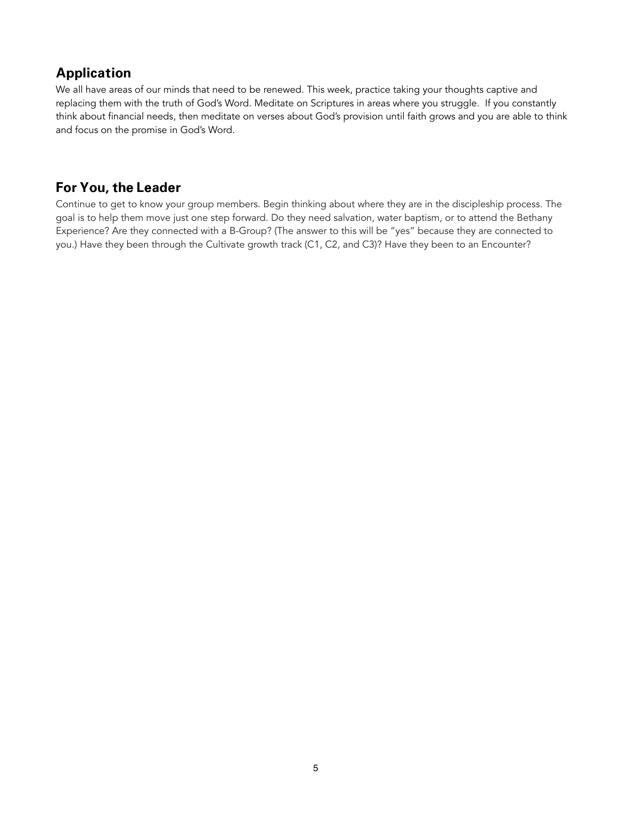We all have areas of our minds that need to be renewed. This week, practice taking your thoughts captive and replacing them with the truth of God's Word. Meditate on Scriptures in areas where you struggle. If you constantly think about financial needs, then meditate on verses about God's provision until faith grows and you are able to think and focus on the promise in God's Word.

### **For You, the Leader**

Continue to get to know your group members. Begin thinking about where they are in the discipleship process. The goal is to help them move just one step forward. Do they need salvation, water baptism, or to attend the Bethany Experience? Are they connected with a B-Group? (The answer to this will be "yes" because they are connected to you.) Have they been through the Cultivate growth track (C1, C2, and C3)? Have they been to an Encounter?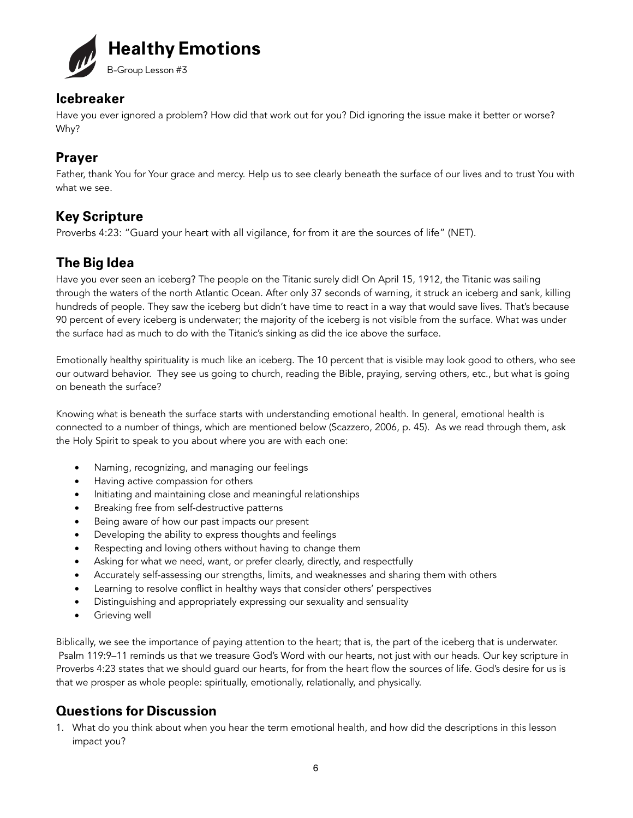

Have you ever ignored a problem? How did that work out for you? Did ignoring the issue make it better or worse? Why?

### **Prayer**

Father, thank You for Your grace and mercy. Help us to see clearly beneath the surface of our lives and to trust You with what we see.

### **Key Scripture**

Proverbs 4:23: "Guard your heart with all vigilance, for from it are the sources of life" (NET).

### **The Big Idea**

Have you ever seen an iceberg? The people on the Titanic surely did! On April 15, 1912, the Titanic was sailing through the waters of the north Atlantic Ocean. After only 37 seconds of warning, it struck an iceberg and sank, killing hundreds of people. They saw the iceberg but didn't have time to react in a way that would save lives. That's because 90 percent of every iceberg is underwater; the majority of the iceberg is not visible from the surface. What was under the surface had as much to do with the Titanic's sinking as did the ice above the surface.

Emotionally healthy spirituality is much like an iceberg. The 10 percent that is visible may look good to others, who see our outward behavior. They see us going to church, reading the Bible, praying, serving others, etc., but what is going on beneath the surface?

Knowing what is beneath the surface starts with understanding emotional health. In general, emotional health is connected to a number of things, which are mentioned below (Scazzero, 2006, p. 45). As we read through them, ask the Holy Spirit to speak to you about where you are with each one:

- Naming, recognizing, and managing our feelings
- Having active compassion for others
- Initiating and maintaining close and meaningful relationships
- Breaking free from self-destructive patterns
- Being aware of how our past impacts our present
- Developing the ability to express thoughts and feelings
- Respecting and loving others without having to change them
- Asking for what we need, want, or prefer clearly, directly, and respectfully
- Accurately self-assessing our strengths, limits, and weaknesses and sharing them with others
- Learning to resolve conflict in healthy ways that consider others' perspectives
- Distinguishing and appropriately expressing our sexuality and sensuality
- Grieving well

Biblically, we see the importance of paying attention to the heart; that is, the part of the iceberg that is underwater. Psalm 119:9–11 reminds us that we treasure God's Word with our hearts, not just with our heads. Our key scripture in Proverbs 4:23 states that we should guard our hearts, for from the heart flow the sources of life. God's desire for us is that we prosper as whole people: spiritually, emotionally, relationally, and physically.

### **Questions for Discussion**

1. What do you think about when you hear the term emotional health, and how did the descriptions in this lesson impact you?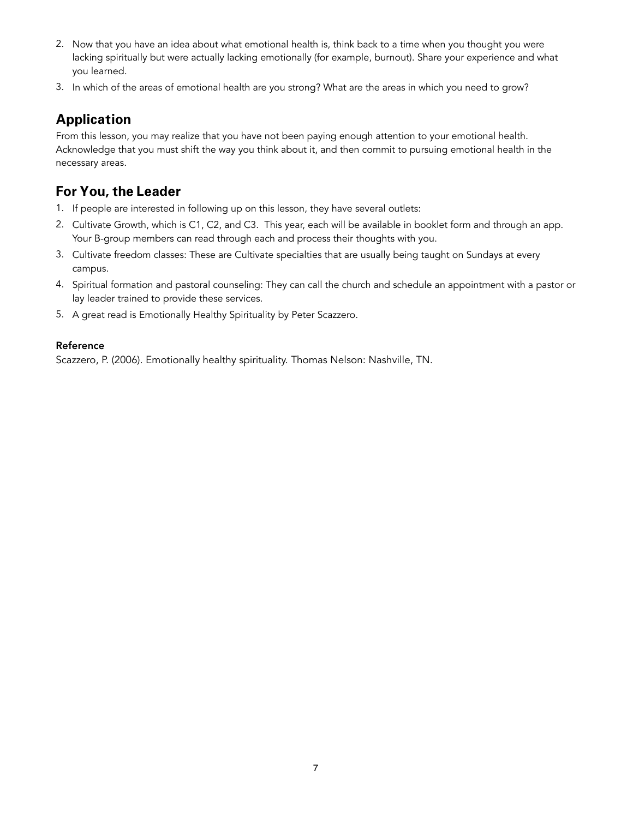- 2. Now that you have an idea about what emotional health is, think back to a time when you thought you were lacking spiritually but were actually lacking emotionally (for example, burnout). Share your experience and what you learned.
- 3. In which of the areas of emotional health are you strong? What are the areas in which you need to grow?

From this lesson, you may realize that you have not been paying enough attention to your emotional health. Acknowledge that you must shift the way you think about it, and then commit to pursuing emotional health in the necessary areas.

### **For You, the Leader**

- 1. If people are interested in following up on this lesson, they have several outlets:
- 2. Cultivate Growth, which is C1, C2, and C3. This year, each will be available in booklet form and through an app. Your B-group members can read through each and process their thoughts with you.
- 3. Cultivate freedom classes: These are Cultivate specialties that are usually being taught on Sundays at every campus.
- 4. Spiritual formation and pastoral counseling: They can call the church and schedule an appointment with a pastor or lay leader trained to provide these services.
- 5. A great read is Emotionally Healthy Spirituality by Peter Scazzero.

#### Reference

Scazzero, P. (2006). Emotionally healthy spirituality. Thomas Nelson: Nashville, TN.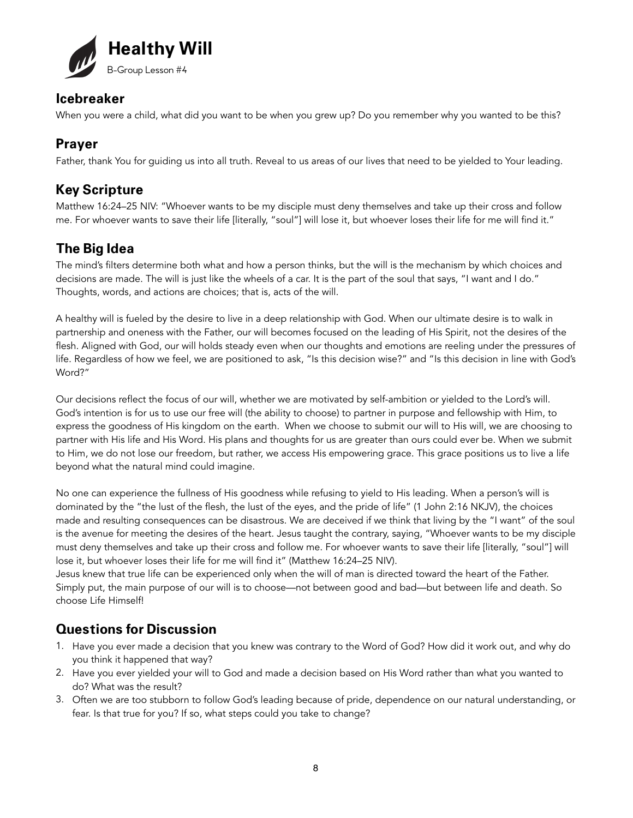

When you were a child, what did you want to be when you grew up? Do you remember why you wanted to be this?

#### **Prayer**

Father, thank You for guiding us into all truth. Reveal to us areas of our lives that need to be yielded to Your leading.

### **Key Scripture**

Matthew 16:24–25 NIV: "Whoever wants to be my disciple must deny themselves and take up their cross and follow me. For whoever wants to save their life [literally, "soul"] will lose it, but whoever loses their life for me will find it."

### **The Big Idea**

The mind's filters determine both what and how a person thinks, but the will is the mechanism by which choices and decisions are made. The will is just like the wheels of a car. It is the part of the soul that says, "I want and I do." Thoughts, words, and actions are choices; that is, acts of the will.

A healthy will is fueled by the desire to live in a deep relationship with God. When our ultimate desire is to walk in partnership and oneness with the Father, our will becomes focused on the leading of His Spirit, not the desires of the flesh. Aligned with God, our will holds steady even when our thoughts and emotions are reeling under the pressures of life. Regardless of how we feel, we are positioned to ask, "Is this decision wise?" and "Is this decision in line with God's Word?"

Our decisions reflect the focus of our will, whether we are motivated by self-ambition or yielded to the Lord's will. God's intention is for us to use our free will (the ability to choose) to partner in purpose and fellowship with Him, to express the goodness of His kingdom on the earth. When we choose to submit our will to His will, we are choosing to partner with His life and His Word. His plans and thoughts for us are greater than ours could ever be. When we submit to Him, we do not lose our freedom, but rather, we access His empowering grace. This grace positions us to live a life beyond what the natural mind could imagine.

No one can experience the fullness of His goodness while refusing to yield to His leading. When a person's will is dominated by the "the lust of the flesh, the lust of the eyes, and the pride of life" (1 John 2:16 NKJV), the choices made and resulting consequences can be disastrous. We are deceived if we think that living by the "I want" of the soul is the avenue for meeting the desires of the heart. Jesus taught the contrary, saying, "Whoever wants to be my disciple must deny themselves and take up their cross and follow me. For whoever wants to save their life [literally, "soul"] will lose it, but whoever loses their life for me will find it" (Matthew 16:24–25 NIV).

Jesus knew that true life can be experienced only when the will of man is directed toward the heart of the Father. Simply put, the main purpose of our will is to choose—not between good and bad—but between life and death. So choose Life Himself!

- 1. Have you ever made a decision that you knew was contrary to the Word of God? How did it work out, and why do you think it happened that way?
- 2. Have you ever yielded your will to God and made a decision based on His Word rather than what you wanted to do? What was the result?
- 3. Often we are too stubborn to follow God's leading because of pride, dependence on our natural understanding, or fear. Is that true for you? If so, what steps could you take to change?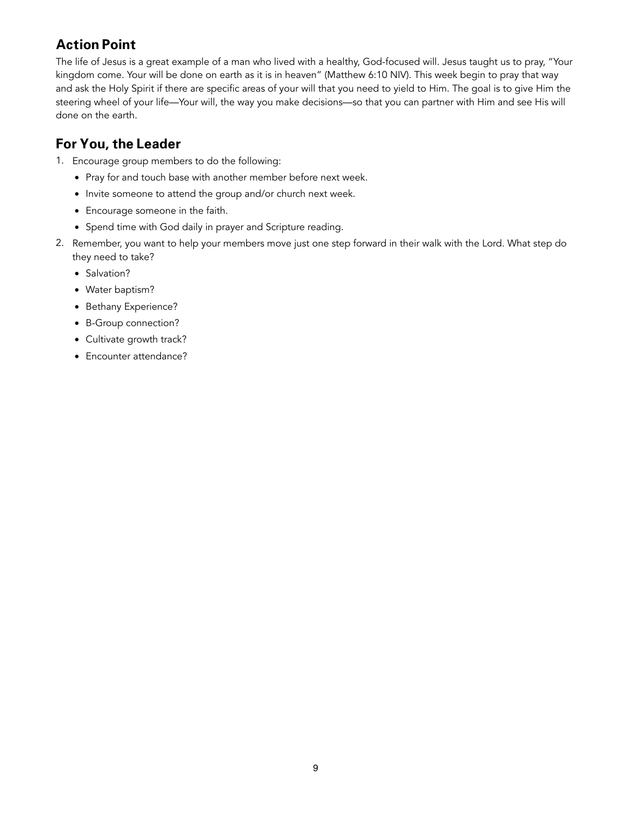### **Action Point**

The life of Jesus is a great example of a man who lived with a healthy, God-focused will. Jesus taught us to pray, "Your kingdom come. Your will be done on earth as it is in heaven" (Matthew 6:10 NIV). This week begin to pray that way and ask the Holy Spirit if there are specific areas of your will that you need to yield to Him. The goal is to give Him the steering wheel of your life—Your will, the way you make decisions—so that you can partner with Him and see His will done on the earth.

- 1. Encourage group members to do the following:
	- Pray for and touch base with another member before next week.
	- Invite someone to attend the group and/or church next week.
	- Encourage someone in the faith.
	- Spend time with God daily in prayer and Scripture reading.
- 2. Remember, you want to help your members move just one step forward in their walk with the Lord. What step do they need to take?
	- Salvation?
	- Water baptism?
	- Bethany Experience?
	- B-Group connection?
	- Cultivate growth track?
	- Encounter attendance?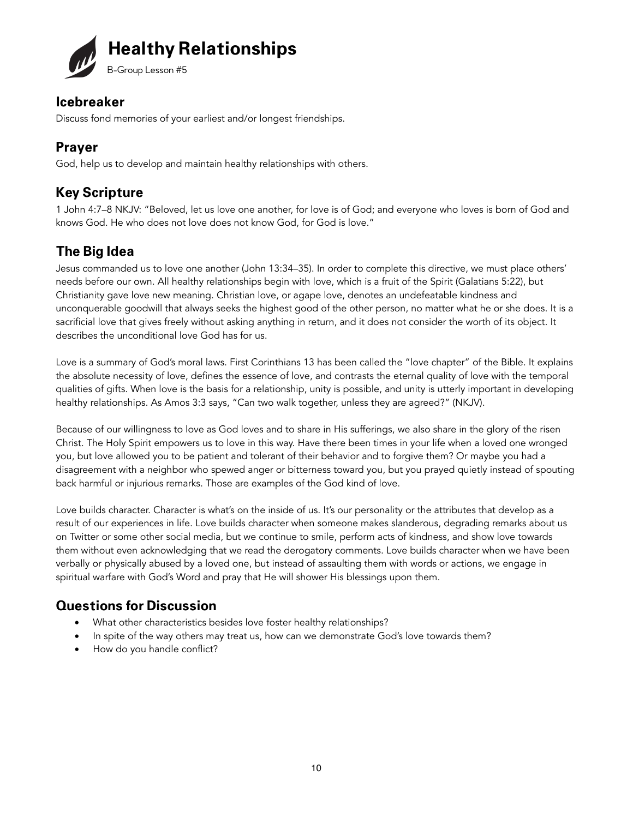

Discuss fond memories of your earliest and/or longest friendships.

### **Prayer**

God, help us to develop and maintain healthy relationships with others.

### **Key Scripture**

1 John 4:7–8 NKJV: "Beloved, let us love one another, for love is of God; and everyone who loves is born of God and knows God. He who does not love does not know God, for God is love."

# **The Big Idea**

Jesus commanded us to love one another (John 13:34–35). In order to complete this directive, we must place others' needs before our own. All healthy relationships begin with love, which is a fruit of the Spirit (Galatians 5:22), but Christianity gave love new meaning. Christian love, or agape love, denotes an undefeatable kindness and unconquerable goodwill that always seeks the highest good of the other person, no matter what he or she does. It is a sacrificial love that gives freely without asking anything in return, and it does not consider the worth of its object. It describes the unconditional love God has for us.

Love is a summary of God's moral laws. First Corinthians 13 has been called the "love chapter" of the Bible. It explains the absolute necessity of love, defines the essence of love, and contrasts the eternal quality of love with the temporal qualities of gifts. When love is the basis for a relationship, unity is possible, and unity is utterly important in developing healthy relationships. As Amos 3:3 says, "Can two walk together, unless they are agreed?" (NKJV).

Because of our willingness to love as God loves and to share in His sufferings, we also share in the glory of the risen Christ. The Holy Spirit empowers us to love in this way. Have there been times in your life when a loved one wronged you, but love allowed you to be patient and tolerant of their behavior and to forgive them? Or maybe you had a disagreement with a neighbor who spewed anger or bitterness toward you, but you prayed quietly instead of spouting back harmful or injurious remarks. Those are examples of the God kind of love.

Love builds character. Character is what's on the inside of us. It's our personality or the attributes that develop as a result of our experiences in life. Love builds character when someone makes slanderous, degrading remarks about us on Twitter or some other social media, but we continue to smile, perform acts of kindness, and show love towards them without even acknowledging that we read the derogatory comments. Love builds character when we have been verbally or physically abused by a loved one, but instead of assaulting them with words or actions, we engage in spiritual warfare with God's Word and pray that He will shower His blessings upon them.

- What other characteristics besides love foster healthy relationships?
- In spite of the way others may treat us, how can we demonstrate God's love towards them?
- How do you handle conflict?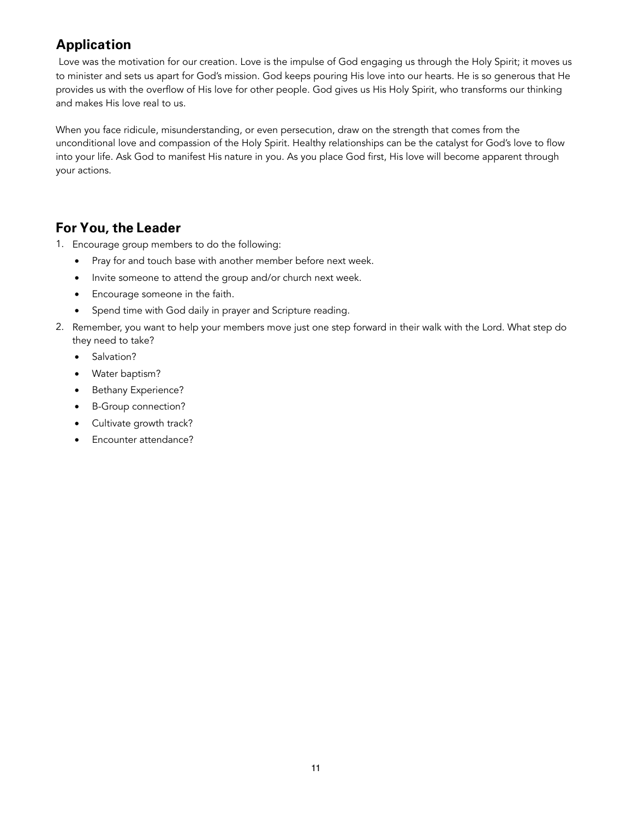Love was the motivation for our creation. Love is the impulse of God engaging us through the Holy Spirit; it moves us to minister and sets us apart for God's mission. God keeps pouring His love into our hearts. He is so generous that He provides us with the overflow of His love for other people. God gives us His Holy Spirit, who transforms our thinking and makes His love real to us.

When you face ridicule, misunderstanding, or even persecution, draw on the strength that comes from the unconditional love and compassion of the Holy Spirit. Healthy relationships can be the catalyst for God's love to flow into your life. Ask God to manifest His nature in you. As you place God first, His love will become apparent through your actions.

- 1. Encourage group members to do the following:
	- Pray for and touch base with another member before next week.
	- Invite someone to attend the group and/or church next week.
	- Encourage someone in the faith.
	- Spend time with God daily in prayer and Scripture reading.
- 2. Remember, you want to help your members move just one step forward in their walk with the Lord. What step do they need to take?
	- Salvation?
	- Water baptism?
	- Bethany Experience?
	- B-Group connection?
	- Cultivate growth track?
	- Encounter attendance?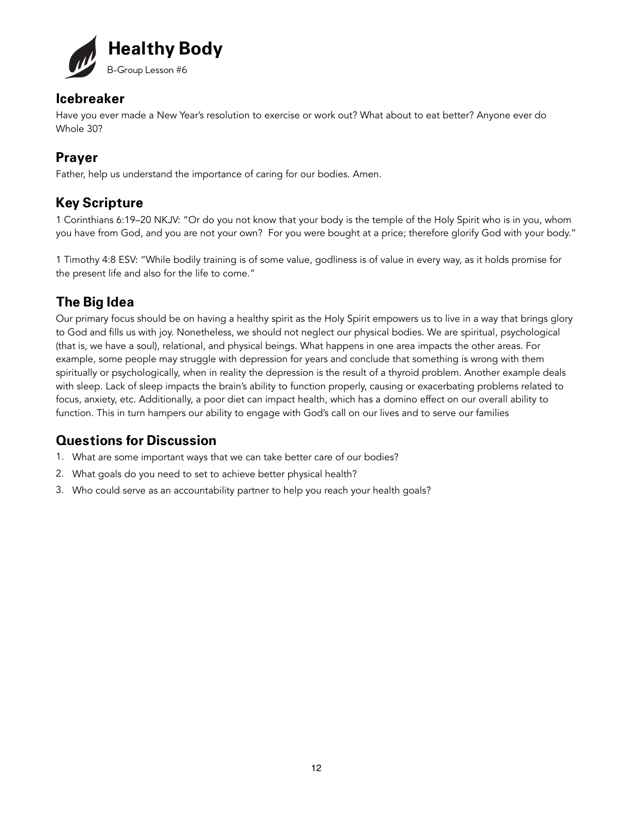

Have you ever made a New Year's resolution to exercise or work out? What about to eat better? Anyone ever do Whole 30?

### **Prayer**

Father, help us understand the importance of caring for our bodies. Amen.

### **Key Scripture**

1 Corinthians 6:19–20 NKJV: "Or do you not know that your body is the temple of the Holy Spirit who is in you, whom you have from God, and you are not your own? For you were bought at a price; therefore glorify God with your body."

1 Timothy 4:8 ESV: "While bodily training is of some value, godliness is of value in every way, as it holds promise for the present life and also for the life to come."

### **The Big Idea**

Our primary focus should be on having a healthy spirit as the Holy Spirit empowers us to live in a way that brings glory to God and fills us with joy. Nonetheless, we should not neglect our physical bodies. We are spiritual, psychological (that is, we have a soul), relational, and physical beings. What happens in one area impacts the other areas. For example, some people may struggle with depression for years and conclude that something is wrong with them spiritually or psychologically, when in reality the depression is the result of a thyroid problem. Another example deals with sleep. Lack of sleep impacts the brain's ability to function properly, causing or exacerbating problems related to focus, anxiety, etc. Additionally, a poor diet can impact health, which has a domino effect on our overall ability to function. This in turn hampers our ability to engage with God's call on our lives and to serve our families

- 1. What are some important ways that we can take better care of our bodies?
- 2. What goals do you need to set to achieve better physical health?
- 3. Who could serve as an accountability partner to help you reach your health goals?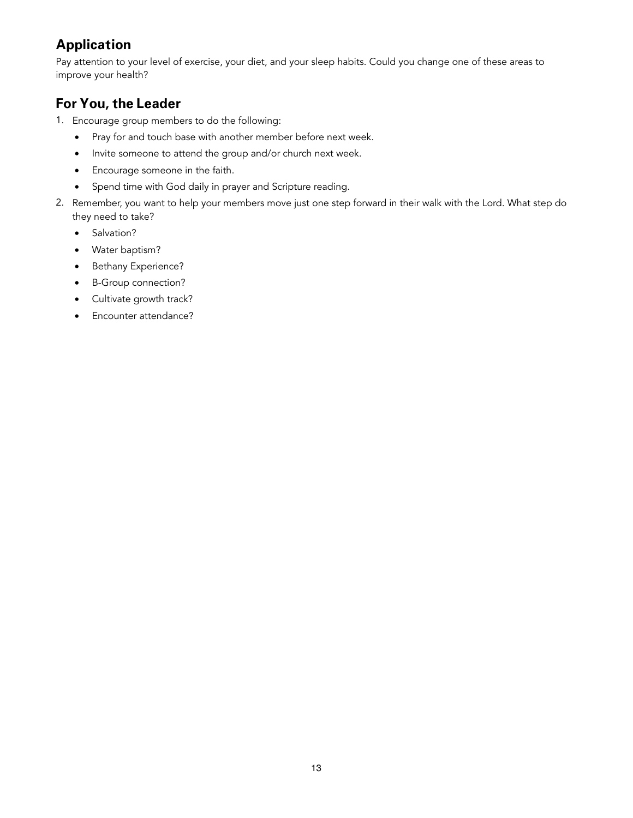Pay attention to your level of exercise, your diet, and your sleep habits. Could you change one of these areas to improve your health?

- 1. Encourage group members to do the following:
	- Pray for and touch base with another member before next week.
	- Invite someone to attend the group and/or church next week.
	- Encourage someone in the faith.
	- Spend time with God daily in prayer and Scripture reading.
- 2. Remember, you want to help your members move just one step forward in their walk with the Lord. What step do they need to take?
	- Salvation?
	- Water baptism?
	- Bethany Experience?
	- B-Group connection?
	- Cultivate growth track?
	- Encounter attendance?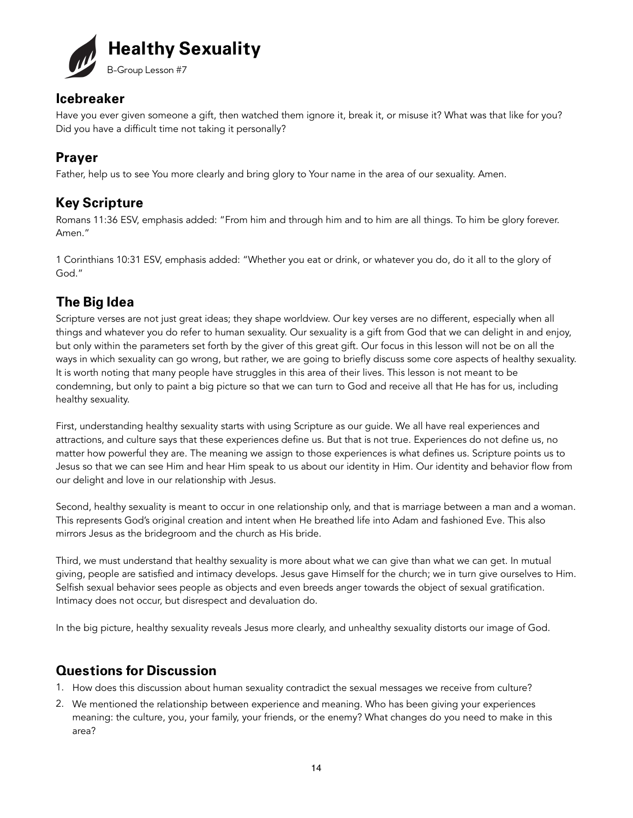

Have you ever given someone a gift, then watched them ignore it, break it, or misuse it? What was that like for you? Did you have a difficult time not taking it personally?

# **Prayer**

Father, help us to see You more clearly and bring glory to Your name in the area of our sexuality. Amen.

### **Key Scripture**

Romans 11:36 ESV, emphasis added: "From him and through him and to him are all things. To him be glory forever. Amen."

1 Corinthians 10:31 ESV, emphasis added: "Whether you eat or drink, or whatever you do, do it all to the glory of God."

# **The Big Idea**

Scripture verses are not just great ideas; they shape worldview. Our key verses are no different, especially when all things and whatever you do refer to human sexuality. Our sexuality is a gift from God that we can delight in and enjoy, but only within the parameters set forth by the giver of this great gift. Our focus in this lesson will not be on all the ways in which sexuality can go wrong, but rather, we are going to briefly discuss some core aspects of healthy sexuality. It is worth noting that many people have struggles in this area of their lives. This lesson is not meant to be condemning, but only to paint a big picture so that we can turn to God and receive all that He has for us, including healthy sexuality.

First, understanding healthy sexuality starts with using Scripture as our guide. We all have real experiences and attractions, and culture says that these experiences define us. But that is not true. Experiences do not define us, no matter how powerful they are. The meaning we assign to those experiences is what defines us. Scripture points us to Jesus so that we can see Him and hear Him speak to us about our identity in Him. Our identity and behavior flow from our delight and love in our relationship with Jesus.

Second, healthy sexuality is meant to occur in one relationship only, and that is marriage between a man and a woman. This represents God's original creation and intent when He breathed life into Adam and fashioned Eve. This also mirrors Jesus as the bridegroom and the church as His bride.

Third, we must understand that healthy sexuality is more about what we can give than what we can get. In mutual giving, people are satisfied and intimacy develops. Jesus gave Himself for the church; we in turn give ourselves to Him. Selfish sexual behavior sees people as objects and even breeds anger towards the object of sexual gratification. Intimacy does not occur, but disrespect and devaluation do.

In the big picture, healthy sexuality reveals Jesus more clearly, and unhealthy sexuality distorts our image of God.

- 1. How does this discussion about human sexuality contradict the sexual messages we receive from culture?
- 2. We mentioned the relationship between experience and meaning. Who has been giving your experiences meaning: the culture, you, your family, your friends, or the enemy? What changes do you need to make in this area?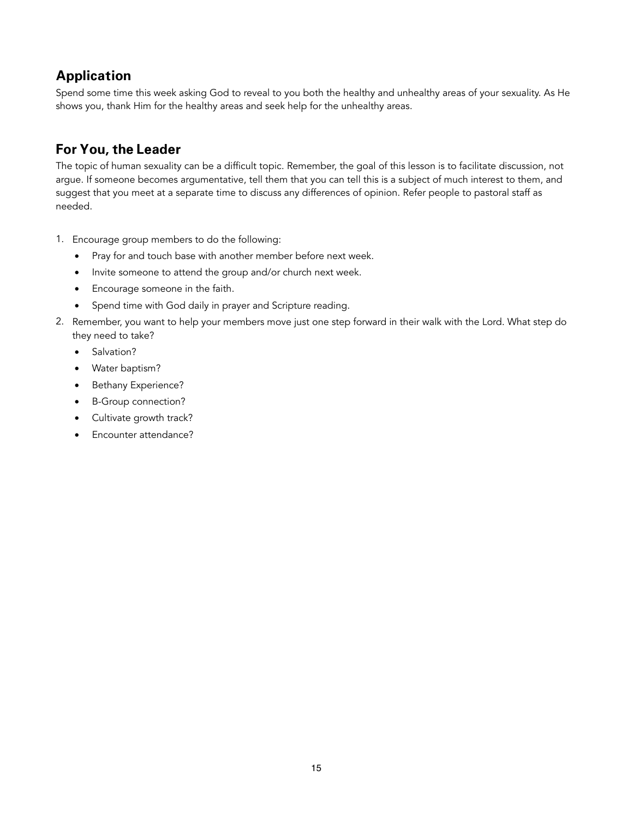Spend some time this week asking God to reveal to you both the healthy and unhealthy areas of your sexuality. As He shows you, thank Him for the healthy areas and seek help for the unhealthy areas.

### **For You, the Leader**

The topic of human sexuality can be a difficult topic. Remember, the goal of this lesson is to facilitate discussion, not argue. If someone becomes argumentative, tell them that you can tell this is a subject of much interest to them, and suggest that you meet at a separate time to discuss any differences of opinion. Refer people to pastoral staff as needed.

- 1. Encourage group members to do the following:
	- Pray for and touch base with another member before next week.
	- Invite someone to attend the group and/or church next week.
	- Encourage someone in the faith.
	- Spend time with God daily in prayer and Scripture reading.
- 2. Remember, you want to help your members move just one step forward in their walk with the Lord. What step do they need to take?
	- Salvation?
	- Water baptism?
	- Bethany Experience?
	- B-Group connection?
	- Cultivate growth track?
	- Encounter attendance?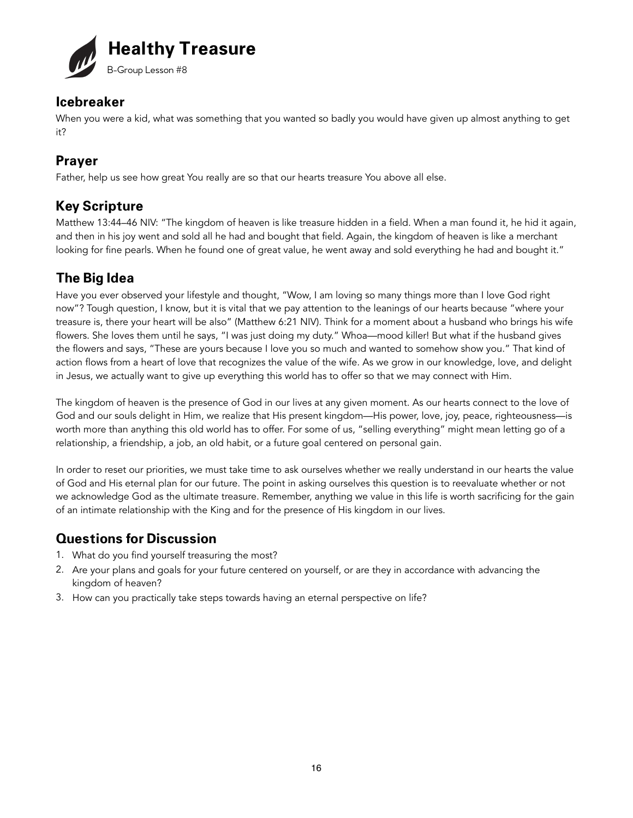

When you were a kid, what was something that you wanted so badly you would have given up almost anything to get it?

### **Prayer**

Father, help us see how great You really are so that our hearts treasure You above all else.

### **Key Scripture**

Matthew 13:44–46 NIV: "The kingdom of heaven is like treasure hidden in a field. When a man found it, he hid it again, and then in his joy went and sold all he had and bought that field. Again, the kingdom of heaven is like a merchant looking for fine pearls. When he found one of great value, he went away and sold everything he had and bought it."

### **The Big Idea**

Have you ever observed your lifestyle and thought, "Wow, I am loving so many things more than I love God right now"? Tough question, I know, but it is vital that we pay attention to the leanings of our hearts because "where your treasure is, there your heart will be also" (Matthew 6:21 NIV). Think for a moment about a husband who brings his wife flowers. She loves them until he says, "I was just doing my duty." Whoa—mood killer! But what if the husband gives the flowers and says, "These are yours because I love you so much and wanted to somehow show you." That kind of action flows from a heart of love that recognizes the value of the wife. As we grow in our knowledge, love, and delight in Jesus, we actually want to give up everything this world has to offer so that we may connect with Him.

The kingdom of heaven is the presence of God in our lives at any given moment. As our hearts connect to the love of God and our souls delight in Him, we realize that His present kingdom—His power, love, joy, peace, righteousness—is worth more than anything this old world has to offer. For some of us, "selling everything" might mean letting go of a relationship, a friendship, a job, an old habit, or a future goal centered on personal gain.

In order to reset our priorities, we must take time to ask ourselves whether we really understand in our hearts the value of God and His eternal plan for our future. The point in asking ourselves this question is to reevaluate whether or not we acknowledge God as the ultimate treasure. Remember, anything we value in this life is worth sacrificing for the gain of an intimate relationship with the King and for the presence of His kingdom in our lives.

- 1. What do you find yourself treasuring the most?
- 2. Are your plans and goals for your future centered on yourself, or are they in accordance with advancing the kingdom of heaven?
- 3. How can you practically take steps towards having an eternal perspective on life?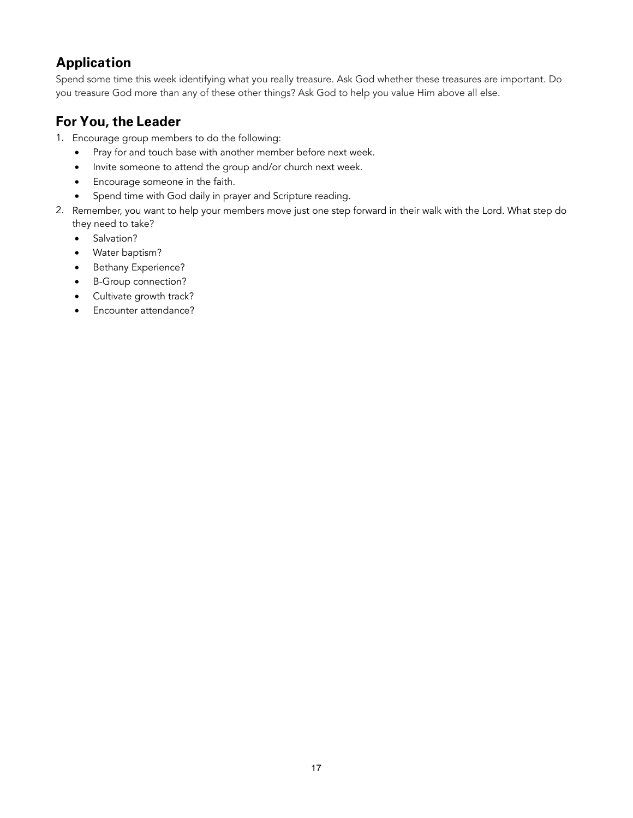Spend some time this week identifying what you really treasure. Ask God whether these treasures are important. Do you treasure God more than any of these other things? Ask God to help you value Him above all else.

- 1. Encourage group members to do the following:
	- Pray for and touch base with another member before next week.
	- Invite someone to attend the group and/or church next week.
	- Encourage someone in the faith.
	- Spend time with God daily in prayer and Scripture reading.
- 2. Remember, you want to help your members move just one step forward in their walk with the Lord. What step do they need to take?
	- Salvation?
	- Water baptism?
	- Bethany Experience?
	- B-Group connection?
	- Cultivate growth track?
	- Encounter attendance?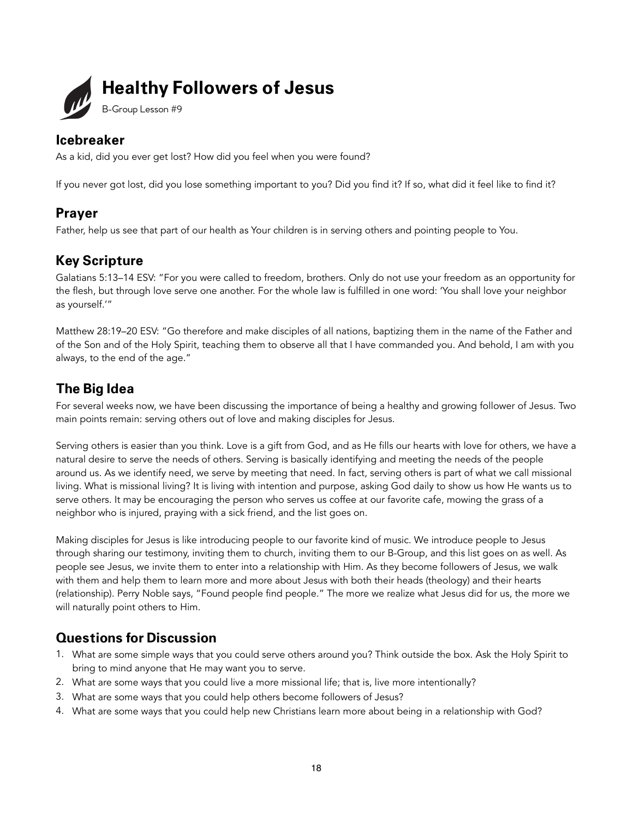

As a kid, did you ever get lost? How did you feel when you were found?

If you never got lost, did you lose something important to you? Did you find it? If so, what did it feel like to find it?

#### **Prayer**

Father, help us see that part of our health as Your children is in serving others and pointing people to You.

### **Key Scripture**

Galatians 5:13–14 ESV: "For you were called to freedom, brothers. Only do not use your freedom as an opportunity for the flesh, but through love serve one another. For the whole law is fulfilled in one word: 'You shall love your neighbor as yourself.'"

Matthew 28:19–20 ESV: "Go therefore and make disciples of all nations, baptizing them in the name of the Father and of the Son and of the Holy Spirit, teaching them to observe all that I have commanded you. And behold, I am with you always, to the end of the age."

### **The Big Idea**

For several weeks now, we have been discussing the importance of being a healthy and growing follower of Jesus. Two main points remain: serving others out of love and making disciples for Jesus.

Serving others is easier than you think. Love is a gift from God, and as He fills our hearts with love for others, we have a natural desire to serve the needs of others. Serving is basically identifying and meeting the needs of the people around us. As we identify need, we serve by meeting that need. In fact, serving others is part of what we call missional living. What is missional living? It is living with intention and purpose, asking God daily to show us how He wants us to serve others. It may be encouraging the person who serves us coffee at our favorite cafe, mowing the grass of a neighbor who is injured, praying with a sick friend, and the list goes on.

Making disciples for Jesus is like introducing people to our favorite kind of music. We introduce people to Jesus through sharing our testimony, inviting them to church, inviting them to our B-Group, and this list goes on as well. As people see Jesus, we invite them to enter into a relationship with Him. As they become followers of Jesus, we walk with them and help them to learn more and more about Jesus with both their heads (theology) and their hearts (relationship). Perry Noble says, "Found people find people." The more we realize what Jesus did for us, the more we will naturally point others to Him.

- 1. What are some simple ways that you could serve others around you? Think outside the box. Ask the Holy Spirit to bring to mind anyone that He may want you to serve.
- 2. What are some ways that you could live a more missional life; that is, live more intentionally?
- 3. What are some ways that you could help others become followers of Jesus?
- 4. What are some ways that you could help new Christians learn more about being in a relationship with God?